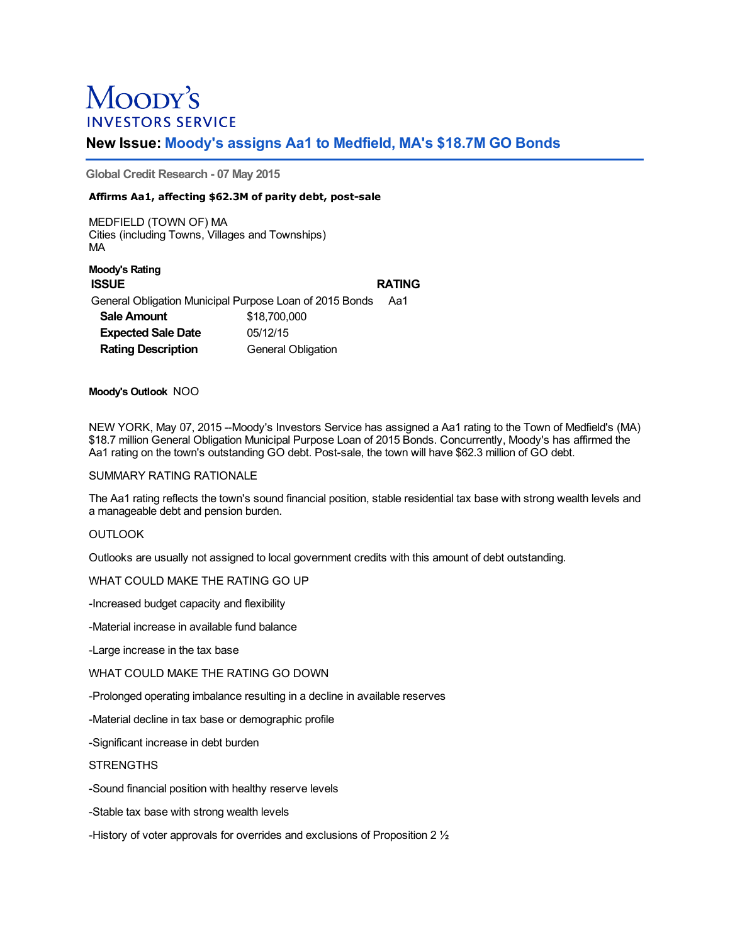# Moopy's **INVESTORS SERVICE**

# **New Issue: Moody's assigns Aa1 to Medfield, MA's \$18.7M GO Bonds**

**Global Credit Research - 07 May 2015**

# **Affirms Aa1, affecting \$62.3M of parity debt, post-sale**

MEDFIELD (TOWN OF) MA Cities (including Towns, Villages and Townships) MA

| Moody's Rating            |                                                         |               |
|---------------------------|---------------------------------------------------------|---------------|
| <b>ISSUE</b>              |                                                         | <b>RATING</b> |
|                           | General Obligation Municipal Purpose Loan of 2015 Bonds | Aa1           |
| <b>Sale Amount</b>        | \$18,700,000                                            |               |
| <b>Expected Sale Date</b> | 05/12/15                                                |               |
| <b>Rating Description</b> | <b>General Obligation</b>                               |               |

#### **Moody's Outlook** NOO

NEW YORK, May 07, 2015 --Moody's Investors Service has assigned a Aa1 rating to the Town of Medfield's (MA) \$18.7 million General Obligation Municipal Purpose Loan of 2015 Bonds. Concurrently, Moody's has affirmed the Aa1 rating on the town's outstanding GO debt. Post-sale, the town will have \$62.3 million of GO debt.

#### SUMMARY RATING RATIONALE

The Aa1 rating reflects the town's sound financial position, stable residential tax base with strong wealth levels and a manageable debt and pension burden.

# **OUTLOOK**

Outlooks are usually not assigned to local government credits with this amount of debt outstanding.

# WHAT COULD MAKE THE RATING GO UP

-Increased budget capacity and flexibility

-Material increase in available fund balance

-Large increase in the tax base

WHAT COULD MAKE THE RATING GO DOWN

-Prolonged operating imbalance resulting in a decline in available reserves

-Material decline in tax base or demographic profile

-Significant increase in debt burden

### **STRENGTHS**

-Sound financial position with healthy reserve levels

-Stable tax base with strong wealth levels

-History of voter approvals for overrides and exclusions of Proposition 2 ½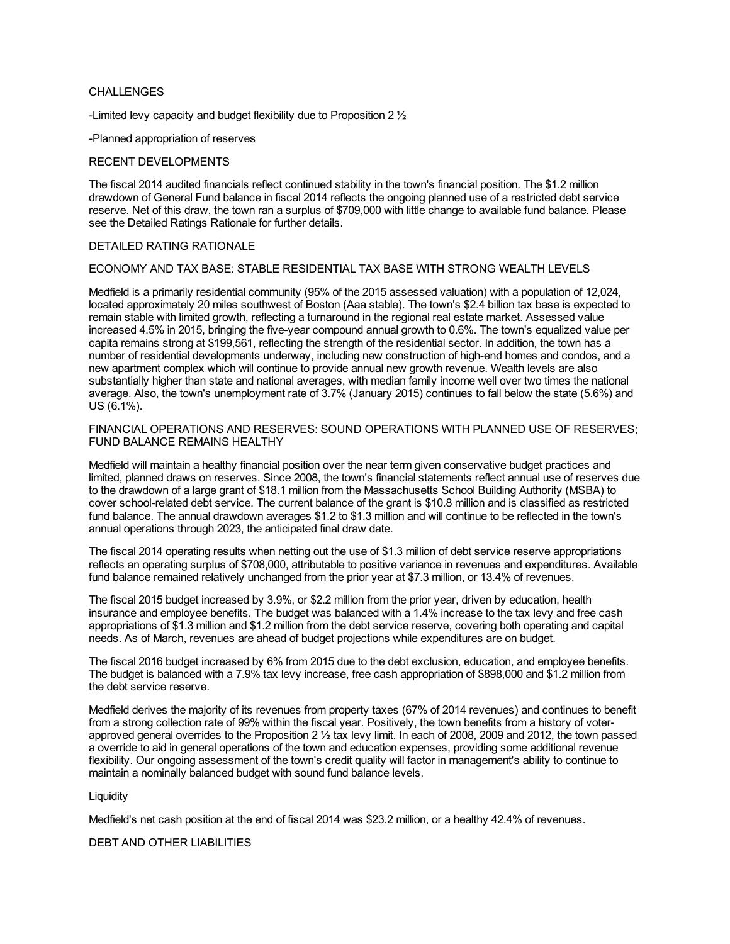# CHALLENGES

-Limited levy capacity and budget flexibility due to Proposition 2 ½

-Planned appropriation of reserves

#### RECENT DEVELOPMENTS

The fiscal 2014 audited financials reflect continued stability in the town's financial position. The \$1.2 million drawdown of General Fund balance in fiscal 2014 reflects the ongoing planned use of a restricted debt service reserve. Net of this draw, the town ran a surplus of \$709,000 with little change to available fund balance. Please see the Detailed Ratings Rationale for further details.

# DETAILED RATING RATIONALE

# ECONOMY AND TAX BASE: STABLE RESIDENTIAL TAX BASE WITH STRONG WEALTH LEVELS

Medfield is a primarily residential community (95% of the 2015 assessed valuation) with a population of 12,024, located approximately 20 miles southwest of Boston (Aaa stable). The town's \$2.4 billion tax base is expected to remain stable with limited growth, reflecting a turnaround in the regional real estate market. Assessed value increased 4.5% in 2015, bringing the five-year compound annual growth to 0.6%. The town's equalized value per capita remains strong at \$199,561, reflecting the strength of the residential sector. In addition, the town has a number of residential developments underway, including new construction of high-end homes and condos, and a new apartment complex which will continue to provide annual new growth revenue. Wealth levels are also substantially higher than state and national averages, with median family income well over two times the national average. Also, the town's unemployment rate of 3.7% (January 2015) continues to fall below the state (5.6%) and US (6.1%).

FINANCIAL OPERATIONS AND RESERVES: SOUND OPERATIONS WITH PLANNED USE OF RESERVES; FUND BALANCE REMAINS HEALTHY

Medfield will maintain a healthy financial position over the near term given conservative budget practices and limited, planned draws on reserves. Since 2008, the town's financial statements reflect annual use of reserves due to the drawdown of a large grant of \$18.1 million from the Massachusetts School Building Authority (MSBA) to cover school-related debt service. The current balance of the grant is \$10.8 million and is classified as restricted fund balance. The annual drawdown averages \$1.2 to \$1.3 million and will continue to be reflected in the town's annual operations through 2023, the anticipated final draw date.

The fiscal 2014 operating results when netting out the use of \$1.3 million of debt service reserve appropriations reflects an operating surplus of \$708,000, attributable to positive variance in revenues and expenditures. Available fund balance remained relatively unchanged from the prior year at \$7.3 million, or 13.4% of revenues.

The fiscal 2015 budget increased by 3.9%, or \$2.2 million from the prior year, driven by education, health insurance and employee benefits. The budget was balanced with a 1.4% increase to the tax levy and free cash appropriations of \$1.3 million and \$1.2 million from the debt service reserve, covering both operating and capital needs. As of March, revenues are ahead of budget projections while expenditures are on budget.

The fiscal 2016 budget increased by 6% from 2015 due to the debt exclusion, education, and employee benefits. The budget is balanced with a 7.9% tax levy increase, free cash appropriation of \$898,000 and \$1.2 million from the debt service reserve.

Medfield derives the majority of its revenues from property taxes (67% of 2014 revenues) and continues to benefit from a strong collection rate of 99% within the fiscal year. Positively, the town benefits from a history of voterapproved general overrides to the Proposition 2 ½ tax levy limit. In each of 2008, 2009 and 2012, the town passed a override to aid in general operations of the town and education expenses, providing some additional revenue flexibility. Our ongoing assessment of the town's credit quality will factor in management's ability to continue to maintain a nominally balanced budget with sound fund balance levels.

#### **Liquidity**

Medfield's net cash position at the end of fiscal 2014 was \$23.2 million, or a healthy 42.4% of revenues.

DEBT AND OTHER LIABILITIES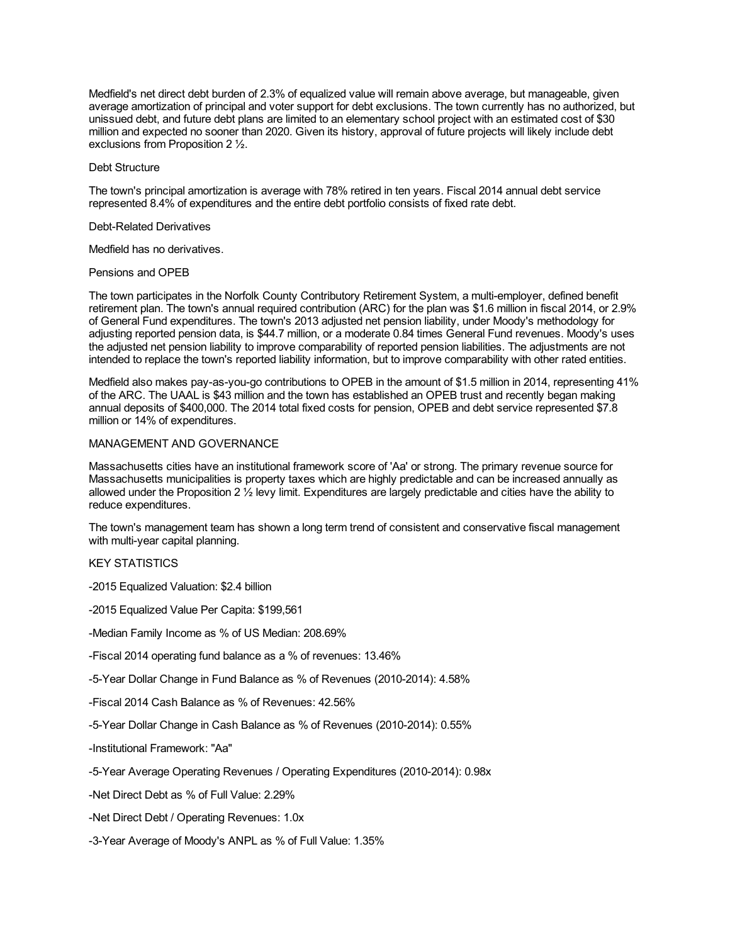Medfield's net direct debt burden of 2.3% of equalized value will remain above average, but manageable, given average amortization of principal and voter support for debt exclusions. The town currently has no authorized, but unissued debt, and future debt plans are limited to an elementary school project with an estimated cost of \$30 million and expected no sooner than 2020. Given its history, approval of future projects will likely include debt exclusions from Proposition 2 ½.

#### Debt Structure

The town's principal amortization is average with 78% retired in ten years. Fiscal 2014 annual debt service represented 8.4% of expenditures and the entire debt portfolio consists of fixed rate debt.

#### Debt-Related Derivatives

Medfield has no derivatives.

#### Pensions and OPEB

The town participates in the Norfolk County Contributory Retirement System, a multi-employer, defined benefit retirement plan. The town's annual required contribution (ARC) for the plan was \$1.6 million in fiscal 2014, or 2.9% of General Fund expenditures. The town's 2013 adjusted net pension liability, under Moody's methodology for adjusting reported pension data, is \$44.7 million, or a moderate 0.84 times General Fund revenues. Moody's uses the adjusted net pension liability to improve comparability of reported pension liabilities. The adjustments are not intended to replace the town's reported liability information, but to improve comparability with other rated entities.

Medfield also makes pay-as-you-go contributions to OPEB in the amount of \$1.5 million in 2014, representing 41% of the ARC. The UAAL is \$43 million and the town has established an OPEB trust and recently began making annual deposits of \$400,000. The 2014 total fixed costs for pension, OPEB and debt service represented \$7.8 million or 14% of expenditures.

#### MANAGEMENT AND GOVERNANCE

Massachusetts cities have an institutional framework score of 'Aa' or strong. The primary revenue source for Massachusetts municipalities is property taxes which are highly predictable and can be increased annually as allowed under the Proposition 2 ½ levy limit. Expenditures are largely predictable and cities have the ability to reduce expenditures.

The town's management team has shown a long term trend of consistent and conservative fiscal management with multi-year capital planning.

# KEY STATISTICS

-2015 Equalized Valuation: \$2.4 billion

-2015 Equalized Value Per Capita: \$199,561

-Median Family Income as % of US Median: 208.69%

-Fiscal 2014 operating fund balance as a % of revenues: 13.46%

-5-Year Dollar Change in Fund Balance as % of Revenues (2010-2014): 4.58%

-Fiscal 2014 Cash Balance as % of Revenues: 42.56%

-5-Year Dollar Change in Cash Balance as % of Revenues (2010-2014): 0.55%

-Institutional Framework: "Aa"

-5-Year Average Operating Revenues / Operating Expenditures (2010-2014): 0.98x

-Net Direct Debt as % of Full Value: 2.29%

-Net Direct Debt / Operating Revenues: 1.0x

-3-Year Average of Moody's ANPL as % of Full Value: 1.35%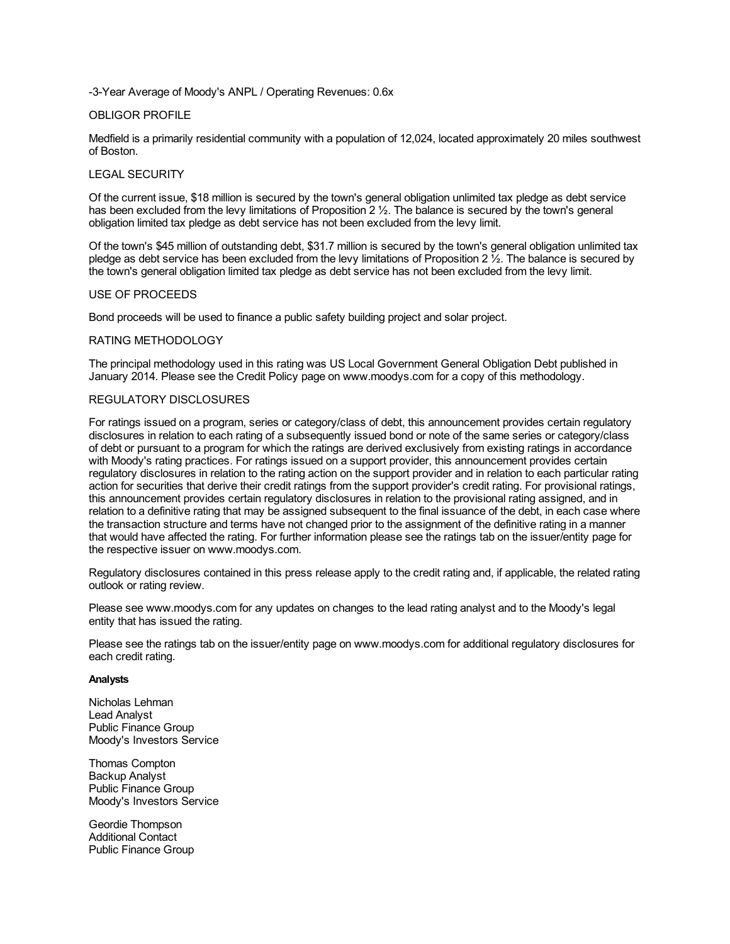## -3-Year Average of Moody's ANPL / Operating Revenues: 0.6x

#### OBLIGOR PROFILE

Medfield is a primarily residential community with a population of 12,024, located approximately 20 miles southwest of Boston.

### LEGAL SECURITY

Of the current issue, \$18 million is secured by the town's general obligation unlimited tax pledge as debt service has been excluded from the levy limitations of Proposition 2 1/2. The balance is secured by the town's general obligation limited tax pledge as debt service has not been excluded from the levy limit.

Of the town's \$45 million of outstanding debt, \$31.7 million is secured by the town's general obligation unlimited tax pledge as debt service has been excluded from the levy limitations of Proposition 2 ½. The balance is secured by the town's general obligation limited tax pledge as debt service has not been excluded from the levy limit.

#### USE OF PROCEEDS

Bond proceeds will be used to finance a public safety building project and solar project.

#### RATING METHODOLOGY

The principal methodology used in this rating was US Local Government General Obligation Debt published in January 2014. Please see the Credit Policy page on www.moodys.com for a copy of this methodology.

# REGULATORY DISCLOSURES

For ratings issued on a program, series or category/class of debt, this announcement provides certain regulatory disclosures in relation to each rating of a subsequently issued bond or note of the same series or category/class of debt or pursuant to a program for which the ratings are derived exclusively from existing ratings in accordance with Moody's rating practices. For ratings issued on a support provider, this announcement provides certain regulatory disclosures in relation to the rating action on the support provider and in relation to each particular rating action for securities that derive their credit ratings from the support provider's credit rating. For provisional ratings, this announcement provides certain regulatory disclosures in relation to the provisional rating assigned, and in relation to a definitive rating that may be assigned subsequent to the final issuance of the debt, in each case where the transaction structure and terms have not changed prior to the assignment of the definitive rating in a manner that would have affected the rating. For further information please see the ratings tab on the issuer/entity page for the respective issuer on www.moodys.com.

Regulatory disclosures contained in this press release apply to the credit rating and, if applicable, the related rating outlook or rating review.

Please see www.moodys.com for any updates on changes to the lead rating analyst and to the Moody's legal entity that has issued the rating.

Please see the ratings tab on the issuer/entity page on www.moodys.com for additional regulatory disclosures for each credit rating.

#### **Analysts**

Nicholas Lehman Lead Analyst Public Finance Group Moody's Investors Service

Thomas Compton Backup Analyst Public Finance Group Moody's Investors Service

Geordie Thompson Additional Contact Public Finance Group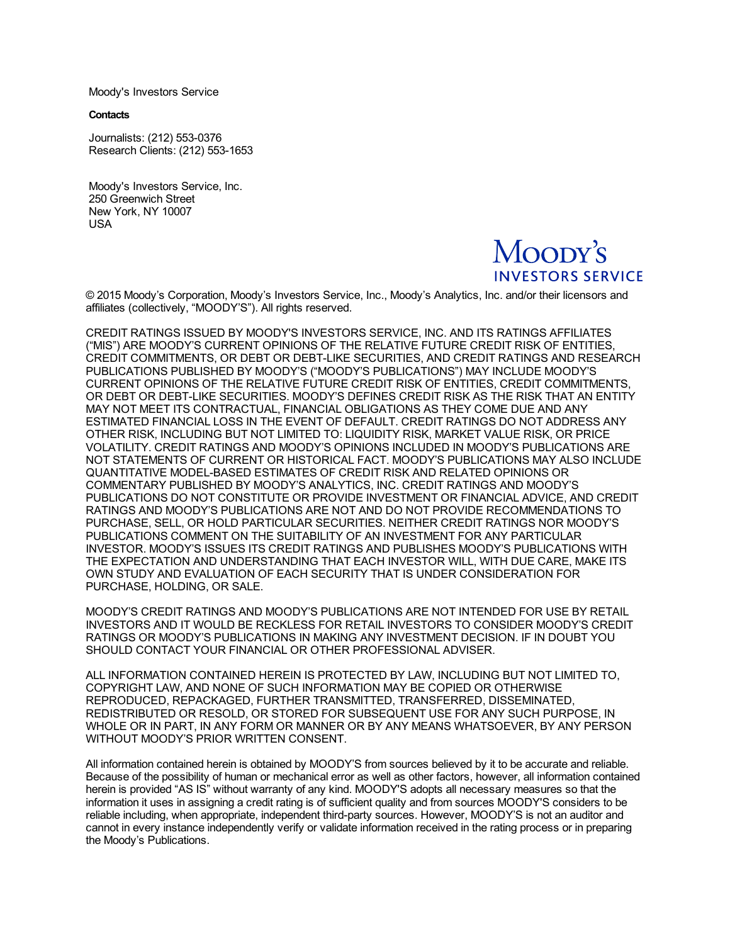Moody's Investors Service

**Contacts**

Journalists: (212) 553-0376 Research Clients: (212) 553-1653

Moody's Investors Service, Inc. 250 Greenwich Street New York, NY 10007 USA



© 2015 Moody's Corporation, Moody's Investors Service, Inc., Moody's Analytics, Inc. and/or their licensors and affiliates (collectively, "MOODY'S"). All rights reserved.

CREDIT RATINGS ISSUED BY MOODY'S INVESTORS SERVICE, INC. AND ITS RATINGS AFFILIATES ("MIS") ARE MOODY'S CURRENT OPINIONS OF THE RELATIVE FUTURE CREDIT RISK OF ENTITIES, CREDIT COMMITMENTS, OR DEBT OR DEBT-LIKE SECURITIES, AND CREDIT RATINGS AND RESEARCH PUBLICATIONS PUBLISHED BY MOODY'S ("MOODY'S PUBLICATIONS") MAY INCLUDE MOODY'S CURRENT OPINIONS OF THE RELATIVE FUTURE CREDIT RISK OF ENTITIES, CREDIT COMMITMENTS, OR DEBT OR DEBT-LIKE SECURITIES. MOODY'S DEFINES CREDIT RISK AS THE RISK THAT AN ENTITY MAY NOT MEET ITS CONTRACTUAL, FINANCIAL OBLIGATIONS AS THEY COME DUE AND ANY ESTIMATED FINANCIAL LOSS IN THE EVENT OF DEFAULT. CREDIT RATINGS DO NOT ADDRESS ANY OTHER RISK, INCLUDING BUT NOT LIMITED TO: LIQUIDITY RISK, MARKET VALUE RISK, OR PRICE VOLATILITY. CREDIT RATINGS AND MOODY'S OPINIONS INCLUDED IN MOODY'S PUBLICATIONS ARE NOT STATEMENTS OF CURRENT OR HISTORICAL FACT. MOODY'S PUBLICATIONS MAY ALSO INCLUDE QUANTITATIVE MODEL-BASED ESTIMATES OF CREDIT RISK AND RELATED OPINIONS OR COMMENTARY PUBLISHED BY MOODY'S ANALYTICS, INC. CREDIT RATINGS AND MOODY'S PUBLICATIONS DO NOT CONSTITUTE OR PROVIDE INVESTMENT OR FINANCIAL ADVICE, AND CREDIT RATINGS AND MOODY'S PUBLICATIONS ARE NOT AND DO NOT PROVIDE RECOMMENDATIONS TO PURCHASE, SELL, OR HOLD PARTICULAR SECURITIES. NEITHER CREDIT RATINGS NOR MOODY'S PUBLICATIONS COMMENT ON THE SUITABILITY OF AN INVESTMENT FOR ANY PARTICULAR INVESTOR. MOODY'S ISSUES ITS CREDIT RATINGS AND PUBLISHES MOODY'S PUBLICATIONS WITH THE EXPECTATION AND UNDERSTANDING THAT EACH INVESTOR WILL, WITH DUE CARE, MAKE ITS OWN STUDY AND EVALUATION OF EACH SECURITY THAT IS UNDER CONSIDERATION FOR PURCHASE, HOLDING, OR SALE.

MOODY'S CREDIT RATINGS AND MOODY'S PUBLICATIONS ARE NOT INTENDED FOR USE BY RETAIL INVESTORS AND IT WOULD BE RECKLESS FOR RETAIL INVESTORS TO CONSIDER MOODY'S CREDIT RATINGS OR MOODY'S PUBLICATIONS IN MAKING ANY INVESTMENT DECISION. IF IN DOUBT YOU SHOULD CONTACT YOUR FINANCIAL OR OTHER PROFESSIONAL ADVISER.

ALL INFORMATION CONTAINED HEREIN IS PROTECTED BY LAW, INCLUDING BUT NOT LIMITED TO, COPYRIGHT LAW, AND NONE OF SUCH INFORMATION MAY BE COPIED OR OTHERWISE REPRODUCED, REPACKAGED, FURTHER TRANSMITTED, TRANSFERRED, DISSEMINATED, REDISTRIBUTED OR RESOLD, OR STORED FOR SUBSEQUENT USE FOR ANY SUCH PURPOSE, IN WHOLE OR IN PART, IN ANY FORM OR MANNER OR BY ANY MEANS WHATSOEVER, BY ANY PERSON WITHOUT MOODY'S PRIOR WRITTEN CONSENT.

All information contained herein is obtained by MOODY'S from sources believed by it to be accurate and reliable. Because of the possibility of human or mechanical error as well as other factors, however, all information contained herein is provided "AS IS" without warranty of any kind. MOODY'S adopts all necessary measures so that the information it uses in assigning a credit rating is of sufficient quality and from sources MOODY'S considers to be reliable including, when appropriate, independent third-party sources. However, MOODY'S is not an auditor and cannot in every instance independently verify or validate information received in the rating process or in preparing the Moody's Publications.